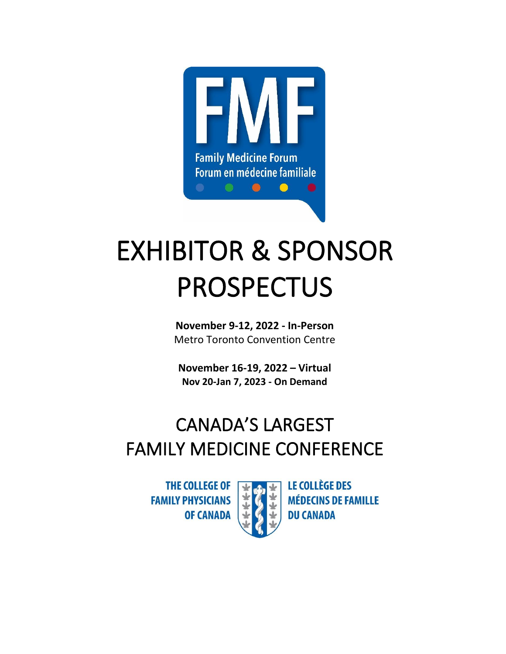

# EXHIBITOR & SPONSOR PROSPECTUS

**November 9-12, 2022 - In-Person** Metro Toronto Convention Centre

**November 16-19, 2022 – Virtual Nov 20-Jan 7, 2023 - On Demand**

# CANADA'S LARGEST FAMILY MEDICINE CONFERENCE

**THE COLLEGE OF FAMILY PHYSICIANS OF CANADA** 



**LE COLLÈGE DES MÉDECINS DE FAMILLE DU CANADA**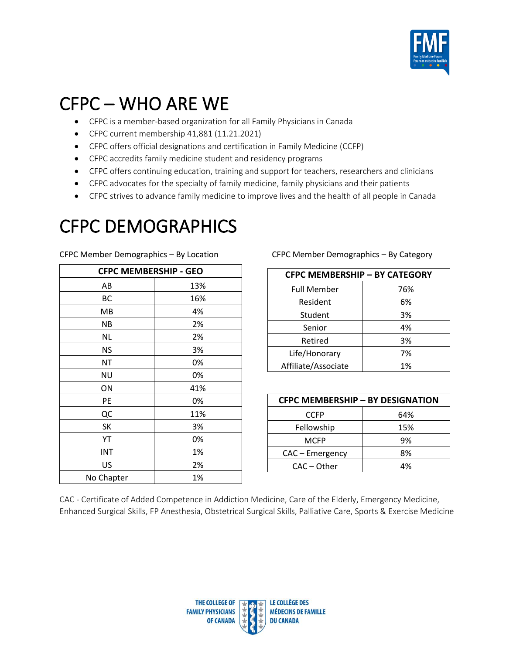

#### CFPC – WHO ARE WE

- CFPC is a member-based organization for all Family Physicians in Canada
- CFPC current membership 41,881 (11.21.2021)
- CFPC offers official designations and certification in Family Medicine (CCFP)
- CFPC accredits family medicine student and residency programs
- CFPC offers continuing education, training and support for teachers, researchers and clinicians
- CFPC advocates for the specialty of family medicine, family physicians and their patients
- CFPC strives to advance family medicine to improve lives and the health of all people in Canada

#### CFPC DEMOGRAPHICS

| <b>CFPC MEMBERSHIP - GEO</b> |     |  |
|------------------------------|-----|--|
| AB                           | 13% |  |
| ВC                           | 16% |  |
| MB                           | 4%  |  |
| <b>NB</b>                    | 2%  |  |
| <b>NL</b>                    | 2%  |  |
| <b>NS</b>                    | 3%  |  |
| NT                           | 0%  |  |
| <b>NU</b>                    | 0%  |  |
| ON                           | 41% |  |
| PE                           | 0%  |  |
| QC                           | 11% |  |
| SK                           | 3%  |  |
| YT                           | 0%  |  |
| INT                          | 1%  |  |
| US                           | 2%  |  |
| No Chapter                   | 1%  |  |

CFPC Member Demographics – By Location CFPC Member Demographics – By Category

| <b>CFPC MEMBERSHIP - BY CATEGORY</b> |     |  |
|--------------------------------------|-----|--|
| <b>Full Member</b>                   | 76% |  |
| Resident                             | 6%  |  |
| Student                              | 3%  |  |
| Senior                               | 4%  |  |
| Retired                              | 3%  |  |
| Life/Honorary                        | 7%  |  |
| Affiliate/Associate                  | 1%  |  |

| <b>CFPC MEMBERSHIP - BY DESIGNATION</b> |     |  |
|-----------------------------------------|-----|--|
| <b>CCFP</b>                             | 64% |  |
| Fellowship                              | 15% |  |
| MCFP                                    | 9%  |  |
| CAC - Emergency                         | 8%  |  |
| CAC – Other                             | 4%  |  |

CAC - Certificate of Added Competence in Addiction Medicine, Care of the Elderly, Emergency Medicine, Enhanced Surgical Skills, FP Anesthesia, Obstetrical Surgical Skills, Palliative Care, Sports & Exercise Medicine

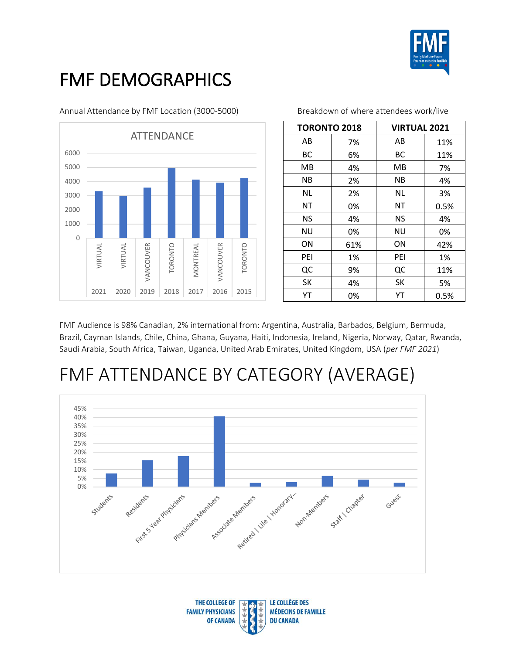

### FMF DEMOGRAPHICS

Annual Attendance by FMF Location (3000-5000) Breakdown of where attendees work/live



| <b>TORONTO 2018</b> |     | <b>VIRTUAL 2021</b> |      |
|---------------------|-----|---------------------|------|
| AB                  | 7%  | AB                  | 11%  |
| BС                  | 6%  | BС                  | 11%  |
| MВ                  | 4%  | MВ                  | 7%   |
| ΝB                  | 2%  | ΝB                  | 4%   |
| <b>NL</b>           | 2%  | NL                  | 3%   |
| ΝT                  | 0%  | ΝT                  | 0.5% |
| <b>NS</b>           | 4%  | ΝS                  | 4%   |
| ΝU                  | 0%  | ΝU                  | 0%   |
| ΟN                  | 61% | ΟN                  | 42%  |
| PEI                 | 1%  | PEI                 | 1%   |
| QC                  | 9%  | QC                  | 11%  |
| SK                  | 4%  | SK                  | 5%   |
| YT                  | 0%  | YT                  | 0.5% |

FMF Audience is 98% Canadian, 2% international from: Argentina, Australia, Barbados, Belgium, Bermuda, Brazil, Cayman Islands, Chile, China, Ghana, Guyana, Haiti, Indonesia, Ireland, Nigeria, Norway, Qatar, Rwanda, Saudi Arabia, South Africa, Taiwan, Uganda, United Arab Emirates, United Kingdom, USA (*per FMF 2021*)

### FMF ATTENDANCE BY CATEGORY (AVERAGE)



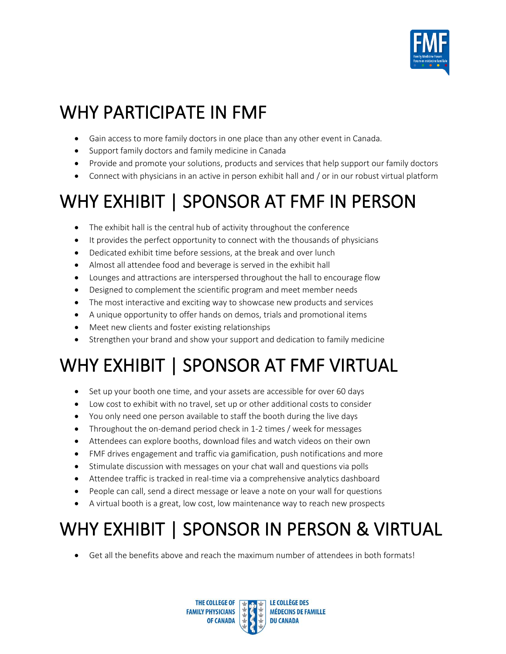

# WHY PARTICIPATE IN FMF

- Gain access to more family doctors in one place than any other event in Canada.
- Support family doctors and family medicine in Canada
- Provide and promote your solutions, products and services that help support our family doctors
- Connect with physicians in an active in person exhibit hall and / or in our robust virtual platform

# WHY EXHIBIT | SPONSOR AT FMF IN PERSON

- The exhibit hall is the central hub of activity throughout the conference
- It provides the perfect opportunity to connect with the thousands of physicians
- Dedicated exhibit time before sessions, at the break and over lunch
- Almost all attendee food and beverage is served in the exhibit hall
- Lounges and attractions are interspersed throughout the hall to encourage flow
- Designed to complement the scientific program and meet member needs
- The most interactive and exciting way to showcase new products and services
- A unique opportunity to offer hands on demos, trials and promotional items
- Meet new clients and foster existing relationships
- Strengthen your brand and show your support and dedication to family medicine

# WHY EXHIBIT | SPONSOR AT FMF VIRTUAL

- Set up your booth one time, and your assets are accessible for over 60 days
- Low cost to exhibit with no travel, set up or other additional costs to consider
- You only need one person available to staff the booth during the live days
- Throughout the on-demand period check in 1-2 times / week for messages
- Attendees can explore booths, download files and watch videos on their own
- FMF drives engagement and traffic via gamification, push notifications and more
- Stimulate discussion with messages on your chat wall and questions via polls
- Attendee traffic is tracked in real-time via a comprehensive analytics dashboard
- People can call, send a direct message or leave a note on your wall for questions
- A virtual booth is a great, low cost, low maintenance way to reach new prospects

# WHY EXHIBIT | SPONSOR IN PERSON & VIRTUAL

• Get all the benefits above and reach the maximum number of attendees in both formats!

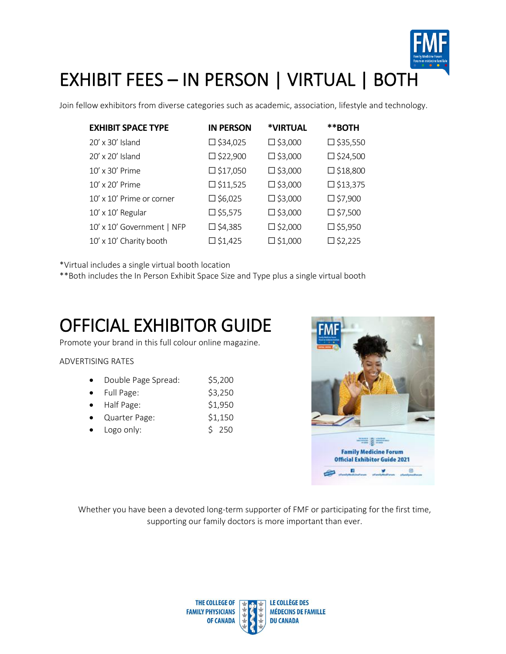

Join fellow exhibitors from diverse categories such as academic, association, lifestyle and technology.

| <b>EXHIBIT SPACE TYPE</b>  | <b>IN PERSON</b>   | *VIRTUAL          | **BOTH             |
|----------------------------|--------------------|-------------------|--------------------|
| 20' x 30' Island           | $\square$ \$34,025 | □ \$3,000         | $\square$ \$35,550 |
| 20' x 20' Island           | $\square$ \$22,900 | $\square$ \$3,000 | $\square$ \$24,500 |
| 10' x 30' Prime            | $\square$ \$17,050 | $\square$ \$3,000 | $\square$ \$18,800 |
| 10' x 20' Prime            | $\square$ \$11,525 | $\square$ \$3,000 | $\square$ \$13,375 |
| 10' x 10' Prime or corner  | $\square$ \$6,025  | $\square$ \$3,000 | $\square$ \$7,900  |
| 10' x 10' Regular          | $\square$ \$5,575  | $\square$ \$3,000 | $\square$ \$7,500  |
| 10' x 10' Government   NFP | $\square$ \$4,385  | $\square$ \$2,000 | □ \$5,950          |
| 10' x 10' Charity booth    | $\square$ \$1,425  | $\square$ \$1,000 | $\square$ \$2,225  |

\*Virtual includes a single virtual booth location

\*\*Both includes the In Person Exhibit Space Size and Type plus a single virtual booth

### OFFICIAL EXHIBITOR GUIDE

Promote your brand in this full colour online magazine.

#### ADVERTISING RATES

|  | Double Page Spread: | \$5,200 |
|--|---------------------|---------|
|--|---------------------|---------|

- Full Page:  $$3,250$
- Half Page: \$1,950
- Quarter Page: \$1,150
- Logo only:  $$ 250$



Whether you have been a devoted long-term supporter of FMF or participating for the first time, supporting our family doctors is more important than ever.

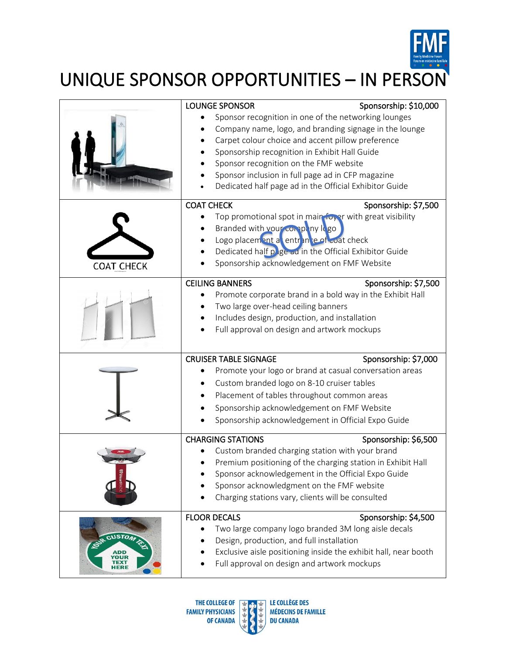

UNIQUE SPONSOR OPPORTUNITIES – IN PERSON

|                                           | <b>LOUNGE SPONSOR</b>                                                                                          | Sponsorship: \$10,000                                           |
|-------------------------------------------|----------------------------------------------------------------------------------------------------------------|-----------------------------------------------------------------|
|                                           | Sponsor recognition in one of the networking lounges<br>Company name, logo, and branding signage in the lounge |                                                                 |
|                                           | Carpet colour choice and accent pillow preference                                                              |                                                                 |
|                                           | Sponsorship recognition in Exhibit Hall Guide<br>Sponsor recognition on the FMF website                        |                                                                 |
|                                           | Sponsor inclusion in full page ad in CFP magazine                                                              |                                                                 |
|                                           | Dedicated half page ad in the Official Exhibitor Guide                                                         |                                                                 |
|                                           | <b>COAT CHECK</b>                                                                                              | Sponsorship: \$7,500                                            |
|                                           | Top promotional spot in main foyer with great visibility                                                       |                                                                 |
|                                           | Branded with your company lego                                                                                 |                                                                 |
|                                           | Logo placement a entrance of coat check                                                                        |                                                                 |
|                                           | Dedicated half page ad in the Official Exhibitor Guide                                                         |                                                                 |
| <b>COAT CHECK</b>                         | Sponsorship acknowledgement on FMF Website                                                                     |                                                                 |
|                                           | <b>CEILING BANNERS</b>                                                                                         | Sponsorship: \$7,500                                            |
|                                           | Promote corporate brand in a bold way in the Exhibit Hall                                                      |                                                                 |
|                                           | Two large over-head ceiling banners                                                                            |                                                                 |
|                                           | Includes design, production, and installation                                                                  |                                                                 |
|                                           | Full approval on design and artwork mockups                                                                    |                                                                 |
|                                           |                                                                                                                |                                                                 |
|                                           | <b>CRUISER TABLE SIGNAGE</b>                                                                                   | Sponsorship: \$7,000                                            |
|                                           | Promote your logo or brand at casual conversation areas                                                        |                                                                 |
|                                           | Custom branded logo on 8-10 cruiser tables                                                                     |                                                                 |
|                                           | Placement of tables throughout common areas                                                                    |                                                                 |
|                                           | Sponsorship acknowledgement on FMF Website                                                                     |                                                                 |
|                                           | Sponsorship acknowledgement in Official Expo Guide                                                             |                                                                 |
|                                           | <b>CHARGING STATIONS</b>                                                                                       | Sponsorship: \$6,500                                            |
|                                           | Custom branded charging station with your brand                                                                |                                                                 |
|                                           | Premium positioning of the charging station in Exhibit Hall                                                    |                                                                 |
|                                           | Sponsor acknowledgement in the Official Expo Guide                                                             |                                                                 |
|                                           | Sponsor acknowledgment on the FMF website                                                                      |                                                                 |
|                                           | Charging stations vary, clients will be consulted                                                              |                                                                 |
|                                           |                                                                                                                |                                                                 |
|                                           | <b>FLOOR DECALS</b>                                                                                            | Sponsorship: \$4,500                                            |
| CUSTOM                                    | Two large company logo branded 3M long aisle decals                                                            |                                                                 |
| Design, production, and full installation |                                                                                                                |                                                                 |
| ADD                                       |                                                                                                                | Exclusive aisle positioning inside the exhibit hall, near booth |
|                                           | Full approval on design and artwork mockups                                                                    |                                                                 |

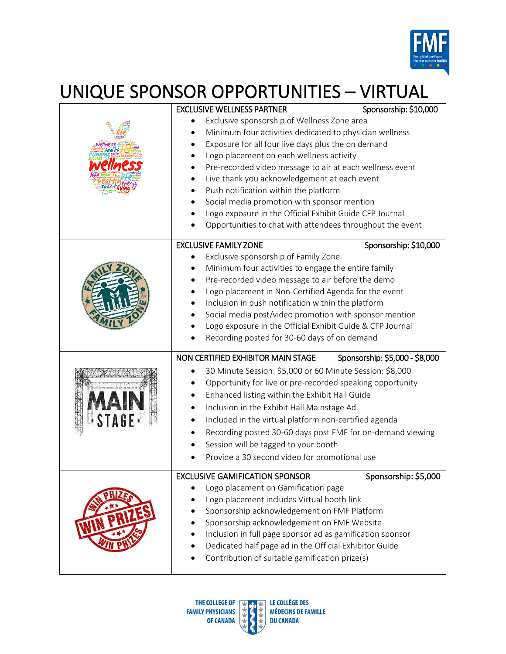

# UNIQUE SPONSOR OPPORTUNITIES – VIRTUAL

|                                                                                           | <b>EXCLUSIVE WELLNESS PARTNER</b>                          | Sponsorship: \$10,000          |
|-------------------------------------------------------------------------------------------|------------------------------------------------------------|--------------------------------|
|                                                                                           | Exclusive sponsorship of Wellness Zone area                |                                |
|                                                                                           | Minimum four activities dedicated to physician wellness    |                                |
|                                                                                           | Exposure for all four live days plus the on demand         |                                |
|                                                                                           | Logo placement on each wellness activity                   |                                |
|                                                                                           | Pre-recorded video message to air at each wellness event   |                                |
|                                                                                           | Live thank you acknowledgement at each event               |                                |
|                                                                                           | Push notification within the platform                      |                                |
|                                                                                           | Social media promotion with sponsor mention                |                                |
|                                                                                           | Logo exposure in the Official Exhibit Guide CFP Journal    |                                |
|                                                                                           | Opportunities to chat with attendees throughout the event  |                                |
|                                                                                           |                                                            |                                |
|                                                                                           | <b>EXCLUSIVE FAMILY ZONE</b>                               | Sponsorship: \$10,000          |
|                                                                                           | Exclusive sponsorship of Family Zone                       |                                |
|                                                                                           | Minimum four activities to engage the entire family        |                                |
|                                                                                           | Pre-recorded video message to air before the demo          |                                |
|                                                                                           | Logo placement in Non-Certified Agenda for the event       |                                |
|                                                                                           | Inclusion in push notification within the platform         |                                |
|                                                                                           | Social media post/video promotion with sponsor mention     |                                |
|                                                                                           | Logo exposure in the Official Exhibit Guide & CFP Journal  |                                |
|                                                                                           | Recording posted for 30-60 days of on demand               |                                |
|                                                                                           |                                                            |                                |
|                                                                                           | NON CERTIFIED EXHIBITOR MAIN STAGE                         | Sponsorship: \$5,000 - \$8,000 |
|                                                                                           | 30 Minute Session: \$5,000 or 60 Minute Session: \$8,000   |                                |
|                                                                                           | Opportunity for live or pre-recorded speaking opportunity  |                                |
|                                                                                           | Enhanced listing within the Exhibit Hall Guide             |                                |
|                                                                                           | Inclusion in the Exhibit Hall Mainstage Ad                 |                                |
|                                                                                           | Included in the virtual platform non-certified agenda      |                                |
|                                                                                           | Recording posted 30-60 days post FMF for on-demand viewing |                                |
|                                                                                           | Session will be tagged to your booth                       |                                |
|                                                                                           | Provide a 30 second video for promotional use              |                                |
|                                                                                           |                                                            |                                |
|                                                                                           | <b>EXCLUSIVE GAMIFICATION SPONSOR</b>                      | Sponsorship: \$5,000           |
|                                                                                           | Logo placement on Gamification page                        |                                |
|                                                                                           | Logo placement includes Virtual booth link                 |                                |
| Sponsorship acknowledgement on FMF Platform<br>Sponsorship acknowledgement on FMF Website |                                                            |                                |
|                                                                                           |                                                            |                                |
|                                                                                           | Inclusion in full page sponsor ad as gamification sponsor  |                                |
|                                                                                           | Dedicated half page ad in the Official Exhibitor Guide     |                                |
|                                                                                           | Contribution of suitable gamification prize(s)             |                                |
|                                                                                           |                                                            |                                |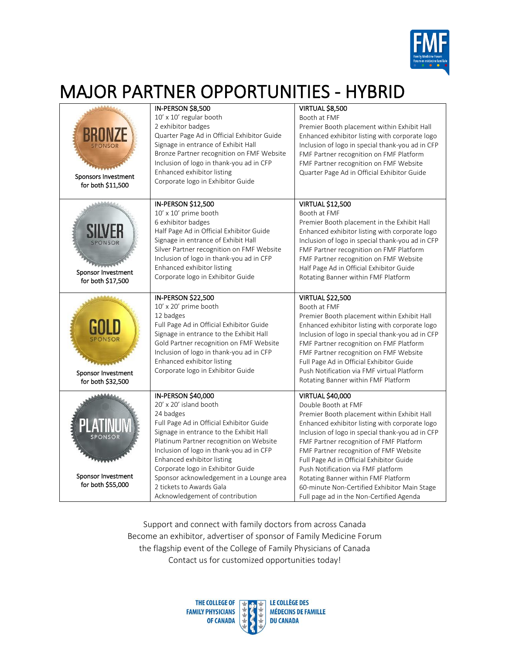

#### MAJOR PARTNER OPPORTUNITIES - HYBRID

| <b>SPONSOR</b><br>Sponsors Investment<br>for both \$11,500 | IN-PERSON \$8,500<br>10' x 10' regular booth<br>2 exhibitor badges<br>Quarter Page Ad in Official Exhibitor Guide<br>Signage in entrance of Exhibit Hall<br>Bronze Partner recognition on FMF Website<br>Inclusion of logo in thank-you ad in CFP<br>Enhanced exhibitor listing<br>Corporate logo in Exhibitor Guide                                                                                                  | VIRTUAL \$8,500<br>Booth at FMF<br>Premier Booth placement within Exhibit Hall<br>Enhanced exhibitor listing with corporate logo<br>Inclusion of logo in special thank-you ad in CFP<br>FMF Partner recognition on FMF Platform<br>FMF Partner recognition on FMF Website<br>Quarter Page Ad in Official Exhibitor Guide                                                                                                                                                                                      |
|------------------------------------------------------------|-----------------------------------------------------------------------------------------------------------------------------------------------------------------------------------------------------------------------------------------------------------------------------------------------------------------------------------------------------------------------------------------------------------------------|---------------------------------------------------------------------------------------------------------------------------------------------------------------------------------------------------------------------------------------------------------------------------------------------------------------------------------------------------------------------------------------------------------------------------------------------------------------------------------------------------------------|
| SPONSOR<br>Sponsor Investment<br>for both \$17,500         | IN-PERSON \$12,500<br>10' x 10' prime booth<br>6 exhibitor badges<br>Half Page Ad in Official Exhibitor Guide<br>Signage in entrance of Exhibit Hall<br>Silver Partner recognition on FMF Website<br>Inclusion of logo in thank-you ad in CFP<br>Enhanced exhibitor listing<br>Corporate logo in Exhibitor Guide                                                                                                      | <b>VIRTUAL \$12,500</b><br>Booth at FMF<br>Premier Booth placement in the Exhibit Hall<br>Enhanced exhibitor listing with corporate logo<br>Inclusion of logo in special thank-you ad in CFP<br>FMF Partner recognition on FMF Platform<br>FMF Partner recognition on FMF Website<br>Half Page Ad in Official Exhibitor Guide<br>Rotating Banner within FMF Platform                                                                                                                                          |
| Sponsor Investment<br>for both \$32,500                    | IN-PERSON \$22,500<br>10' x 20' prime booth<br>12 badges<br>Full Page Ad in Official Exhibitor Guide<br>Signage in entrance to the Exhibit Hall<br>Gold Partner recognition on FMF Website<br>Inclusion of logo in thank-you ad in CFP<br>Enhanced exhibitor listing<br>Corporate logo in Exhibitor Guide                                                                                                             | <b>VIRTUAL \$22,500</b><br>Booth at FMF<br>Premier Booth placement within Exhibit Hall<br>Enhanced exhibitor listing with corporate logo<br>Inclusion of logo in special thank-you ad in CFP<br>FMF Partner recognition on FMF Platform<br>FMF Partner recognition on FMF Website<br>Full Page Ad in Official Exhibitor Guide<br>Push Notification via FMF virtual Platform<br>Rotating Banner within FMF Platform                                                                                            |
| ONSOR<br>Sponsor Investment<br>for both \$55,000           | IN-PERSON \$40,000<br>20' x 20' island booth<br>24 badges<br>Full Page Ad in Official Exhibitor Guide<br>Signage in entrance to the Exhibit Hall<br>Platinum Partner recognition on Website<br>Inclusion of logo in thank-you ad in CFP<br>Enhanced exhibitor listing<br>Corporate logo in Exhibitor Guide<br>Sponsor acknowledgement in a Lounge area<br>2 tickets to Awards Gala<br>Acknowledgement of contribution | <b>VIRTUAL \$40,000</b><br>Double Booth at FMF<br>Premier Booth placement within Exhibit Hall<br>Enhanced exhibitor listing with corporate logo<br>Inclusion of logo in special thank-you ad in CFP<br>FMF Partner recognition of FMF Platform<br>FMF Partner recognition of FMF Website<br>Full Page Ad in Official Exhibitor Guide<br>Push Notification via FMF platform<br>Rotating Banner within FMF Platform<br>60-minute Non-Certified Exhibitor Main Stage<br>Full page ad in the Non-Certified Agenda |

Support and connect with family doctors from across Canada Become an exhibitor, advertiser of sponsor of Family Medicine Forum the flagship event of the College of Family Physicians of Canada Contact us for customized opportunities today!